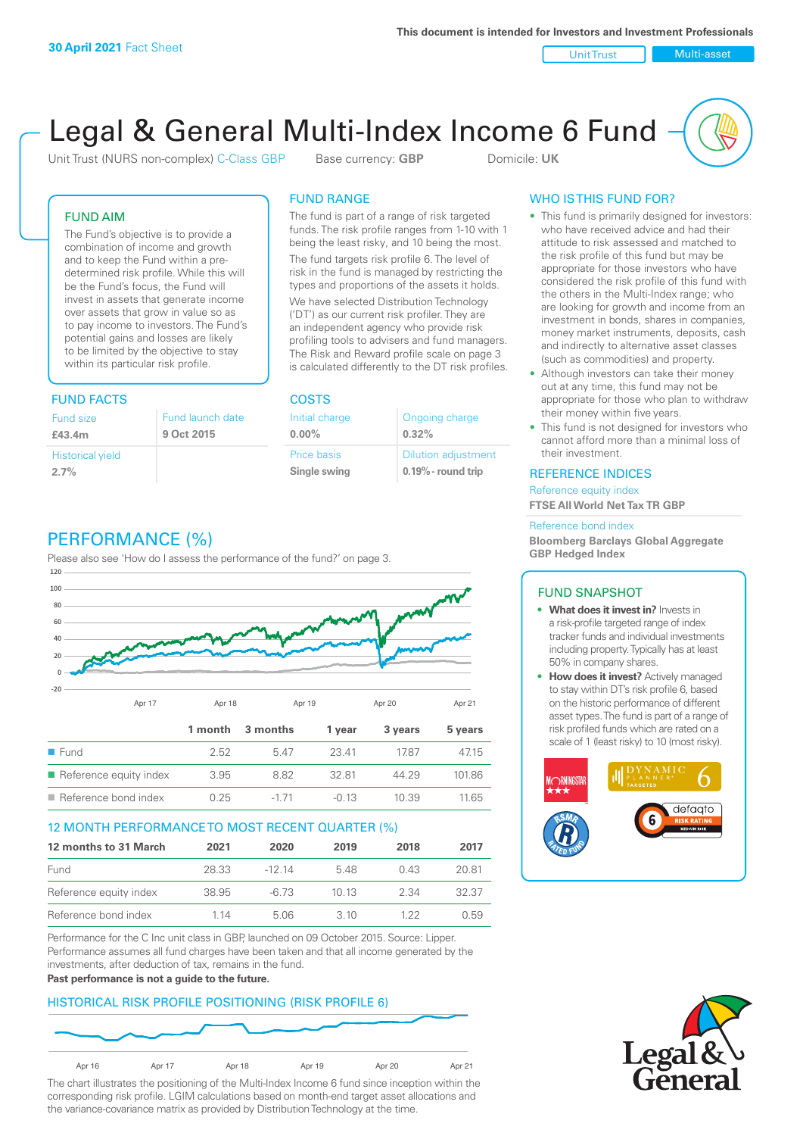Unit Trust Nulti-asset

# Legal & General Multi-Index Income 6 Fund

Unit Trust (NURS non-complex) C-Class GBP Base currency: **GBP** Domicile: UK

# FUND AIM

The Fund's objective is to provide a combination of income and growth and to keep the Fund within a predetermined risk profile. While this will be the Fund's focus, the Fund will invest in assets that generate income over assets that grow in value so as to pay income to investors. The Fund's potential gains and losses are likely to be limited by the objective to stay within its particular risk profile.

# FUND FACTS COSTS

| Fund size                       | Fund launch date |
|---------------------------------|------------------|
| £43.4m                          | 9 Oct 2015       |
| <b>Historical yield</b><br>2.7% |                  |

# FUND RANGE

The fund is part of a range of risk targeted funds. The risk profile ranges from 1-10 with 1 being the least risky, and 10 being the most.

The fund targets risk profile 6. The level of risk in the fund is managed by restricting the types and proportions of the assets it holds. We have selected Distribution Technology ('DT') as our current risk profiler. They are an independent agency who provide risk profiling tools to advisers and fund managers. The Risk and Reward profile scale on page 3 is calculated differently to the DT risk profiles.

**0.00%**

| Initial charge | Ongoing charge             |
|----------------|----------------------------|
| $0.00\%$       | 0.32%                      |
| Price basis    | <b>Dilution adjustment</b> |
| Single swing   | $0.19\%$ - round trip      |

# PERFORMANCE (%)

Please also see 'How do I assess the performance of the fund?' on page 3.



# 12 MONTH PERFORMANCE TO MOST RECENT QUARTER (%)

| 12 months to 31 March  | 2021  | 2020   | 2019 | 2018 | 2017  |
|------------------------|-------|--------|------|------|-------|
| Fund                   | 28.33 | -12 14 | 548  | 0.43 | 20.81 |
| Reference equity index | 38.95 | -6.73  | 1013 | 2.34 | 32.37 |
| Reference bond index   | 1 14  | 5.06   | 3 10 | 1 22 | 0.59  |

Performance for the C Inc unit class in GBP, launched on 09 October 2015. Source: Lipper. Performance assumes all fund charges have been taken and that all income generated by the investments, after deduction of tax, remains in the fund.

#### **Past performance is not a guide to the future.**

# HISTORICAL RISK PROFILE POSITIONING (RISK PROFILE 6)



The chart illustrates the positioning of the Multi-Index Income 6 fund since inception within the corresponding risk profile. LGIM calculations based on month-end target asset allocations and the variance-covariance matrix as provided by Distribution Technology at the time.

# WHO IS THIS FUND FOR?

- This fund is primarily designed for investors: who have received advice and had their attitude to risk assessed and matched to the risk profile of this fund but may be appropriate for those investors who have considered the risk profile of this fund with the others in the Multi-Index range; who are looking for growth and income from an investment in bonds, shares in companies, money market instruments, deposits, cash and indirectly to alternative asset classes (such as commodities) and property.
- Although investors can take their money out at any time, this fund may not be appropriate for those who plan to withdraw their money within five years.
- This fund is not designed for investors who cannot afford more than a minimal loss of their investment.

# REFERENCE INDICES

Reference equity index **FTSE All World Net Tax TR GBP**

#### Reference bond index

**Bloomberg Barclays Global Aggregate GBP Hedged Index**

# FUND SNAPSHOT

- **• What does it invest in?** Invests in a risk-profile targeted range of index tracker funds and individual investments including property. Typically has at least 50% in company shares.
- **• How does it invest?** Actively managed to stay within DT's risk profile 6, based on the historic performance of different asset types. The fund is part of a range of risk profiled funds which are rated on a scale of 1 (least risky) to 10 (most risky).



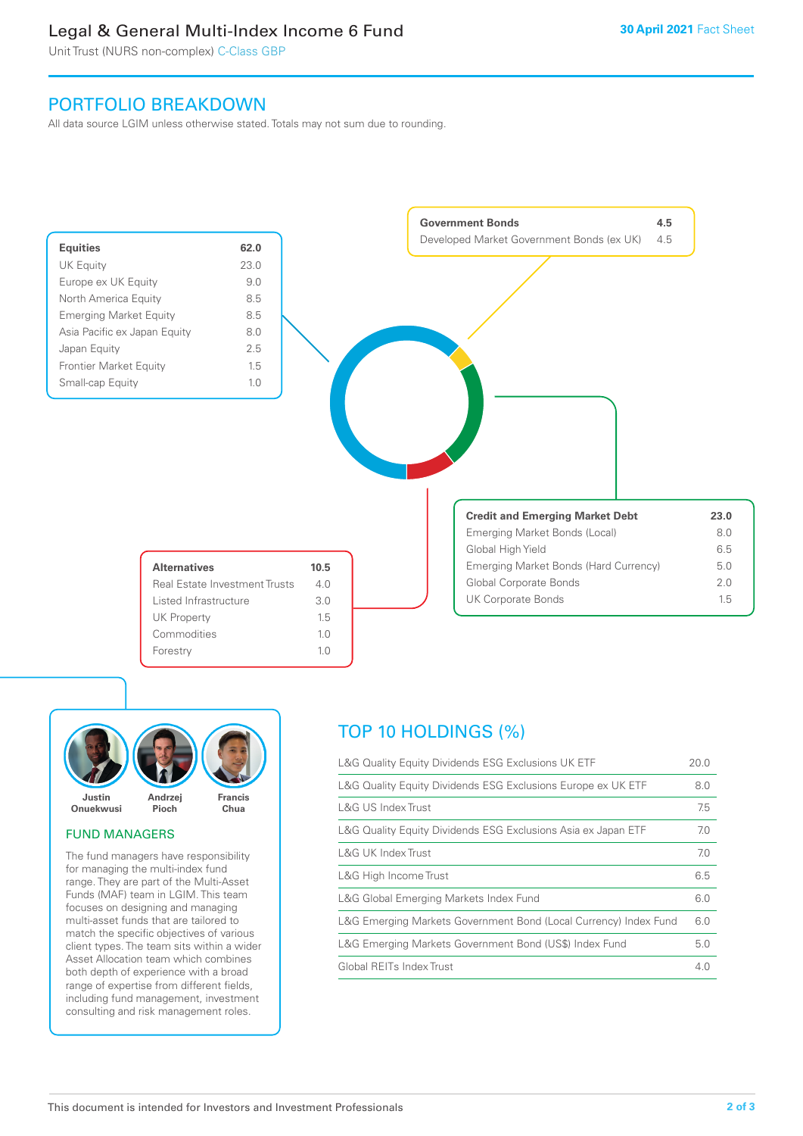# Legal & General Multi-Index Income 6 Fund

Unit Trust (NURS non-complex) C-Class GBP

# PORTFOLIO BREAKDOWN

All data source LGIM unless otherwise stated. Totals may not sum due to rounding.





# FUND MANAGERS

The fund managers have responsibility for managing the multi-index fund range. They are part of the Multi-Asset Funds (MAF) team in LGIM. This team focuses on designing and managing multi-asset funds that are tailored to match the specific objectives of various client types. The team sits within a wider Asset Allocation team which combines both depth of experience with a broad range of expertise from different fields, including fund management, investment consulting and risk management roles.

# TOP 10 HOLDINGS (%)

| L&G Quality Equity Dividends ESG Exclusions UK ETF               | 20.0 |
|------------------------------------------------------------------|------|
| L&G Quality Equity Dividends ESG Exclusions Europe ex UK ETF     | 8.0  |
| L&G US Index Trust                                               | 7.5  |
| L&G Quality Equity Dividends ESG Exclusions Asia ex Japan ETF    | 7.0  |
| <b>L&amp;G UK Index Trust</b>                                    | 7.0  |
| L&G High Income Trust                                            | 6.5  |
| L&G Global Emerging Markets Index Fund                           | 6.0  |
| L&G Emerging Markets Government Bond (Local Currency) Index Fund | 6.0  |
| L&G Emerging Markets Government Bond (US\$) Index Fund           | 5.0  |
| Global REITs Index Trust                                         | 4.0  |